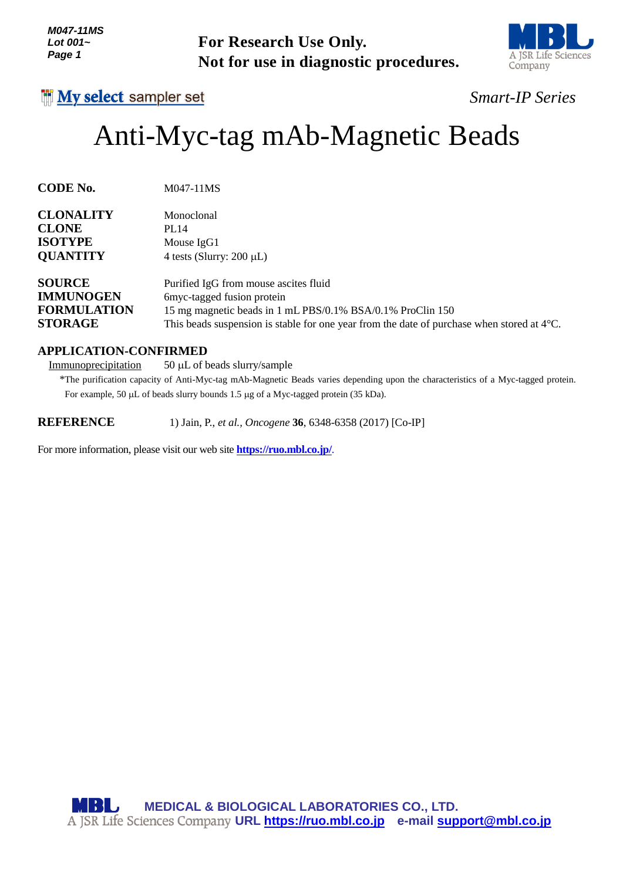# Anti-Myc-tag mAb-Magnetic Beads

| Lot 001~<br>Page 1                                                        | <b>For Research Use Only.</b><br>Not for use in diagnostic procedures.                                                                                                                                                                              | A JSR Life Sc<br>Company |
|---------------------------------------------------------------------------|-----------------------------------------------------------------------------------------------------------------------------------------------------------------------------------------------------------------------------------------------------|--------------------------|
| <b>INy select sampler set</b>                                             |                                                                                                                                                                                                                                                     | Smart-IP Serie           |
|                                                                           | Anti-Myc-tag mAb-Magnetic Beads                                                                                                                                                                                                                     |                          |
| <b>CODE No.</b>                                                           | M047-11MS                                                                                                                                                                                                                                           |                          |
| <b>CLONALITY</b><br><b>CLONE</b><br><b>ISOTYPE</b><br><b>QUANTITY</b>     | Monoclonal<br><b>PL14</b><br>Mouse IgG1<br>4 tests (Slurry: $200 \mu L$ )                                                                                                                                                                           |                          |
| <b>SOURCE</b><br><b>IMMUNOGEN</b><br><b>FORMULATION</b><br><b>STORAGE</b> | Purified IgG from mouse ascites fluid<br>6myc-tagged fusion protein<br>15 mg magnetic beads in 1 mL PBS/0.1% BSA/0.1% ProClin 150<br>This beads suspension is stable for one year from the date of purchase when stored at $4^{\circ}$ C.           |                          |
| <b>APPLICATION-CONFIRMED</b><br>Immunoprecipitation                       | 50 µL of beads slurry/sample<br>*The purification capacity of Anti-Myc-tag mAb-Magnetic Beads varies depending upon the characteristics of a Myc-tagged prote<br>For example, 50 µL of beads slurry bounds 1.5 µg of a Myc-tagged protein (35 kDa). |                          |
| <b>REFERENCE</b>                                                          | 1) Jain, P., et al., Oncogene 36, 6348-6358 (2017) [Co-IP]                                                                                                                                                                                          |                          |
|                                                                           | For more information, please visit our web site <b>https://ruo.mbl.co.jp/</b> .                                                                                                                                                                     |                          |
|                                                                           | <b>MBL</b> MEDICAL & BIOLOGICAL LABORATORIES CO., LTD.<br>A JSR Life Sciences Company URL https://ruo.mbl.co.jp e-mail support@mbl.co.jp                                                                                                            |                          |

# **APPLICATION-CONFIRMED**



# *Smart-IP Series*